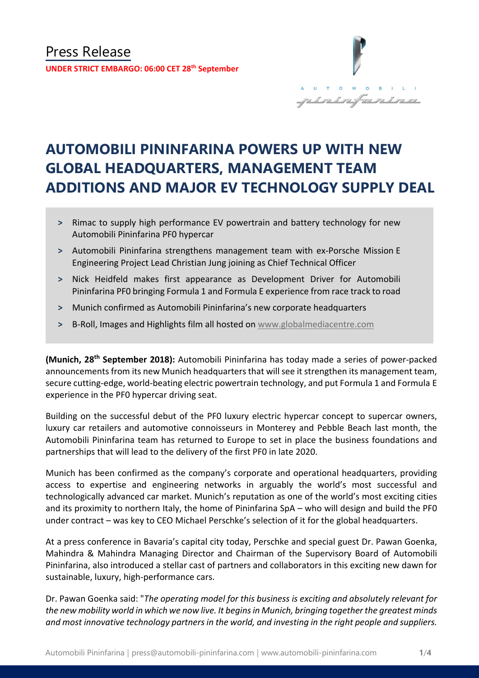

# **AUTOMOBILI PININFARINA POWERS UP WITH NEW GLOBAL HEADQUARTERS, MANAGEMENT TEAM ADDITIONS AND MAJOR EV TECHNOLOGY SUPPLY DEAL**

- **˃** Rimac to supply high performance EV powertrain and battery technology for new Automobili Pininfarina PF0 hypercar
- **˃** Automobili Pininfarina strengthens management team with ex-Porsche Mission E Engineering Project Lead Christian Jung joining as Chief Technical Officer
- **˃** Nick Heidfeld makes first appearance as Development Driver for Automobili Pininfarina PF0 bringing Formula 1 and Formula E experience from race track to road
- **˃** Munich confirmed as Automobili Pininfarina's new corporate headquarters
- **˃** B-Roll, Images and Highlights film all hosted on [www.globalmediacentre.com](http://www.globalmediacentre.com/)

**(Munich, 28th September 2018):** Automobili Pininfarina has today made a series of power-packed announcements from its new Munich headquarters that will see it strengthen its management team, secure cutting-edge, world-beating electric powertrain technology, and put Formula 1 and Formula E experience in the PF0 hypercar driving seat.

Building on the successful debut of the PF0 luxury electric hypercar concept to supercar owners, luxury car retailers and automotive connoisseurs in Monterey and Pebble Beach last month, the Automobili Pininfarina team has returned to Europe to set in place the business foundations and partnerships that will lead to the delivery of the first PF0 in late 2020.

Munich has been confirmed as the company's corporate and operational headquarters, providing access to expertise and engineering networks in arguably the world's most successful and technologically advanced car market. Munich's reputation as one of the world's most exciting cities and its proximity to northern Italy, the home of Pininfarina SpA – who will design and build the PF0 under contract – was key to CEO Michael Perschke's selection of it for the global headquarters.

At a press conference in Bavaria's capital city today, Perschke and special guest Dr. Pawan Goenka, Mahindra & Mahindra Managing Director and Chairman of the Supervisory Board of Automobili Pininfarina, also introduced a stellar cast of partners and collaborators in this exciting new dawn for sustainable, luxury, high-performance cars.

Dr. Pawan Goenka said: "*The operating model for this business is exciting and absolutely relevant for the new mobility world in which we now live. It begins in Munich, bringing together the greatest minds and most innovative technology partners in the world, and investing in the right people and suppliers.*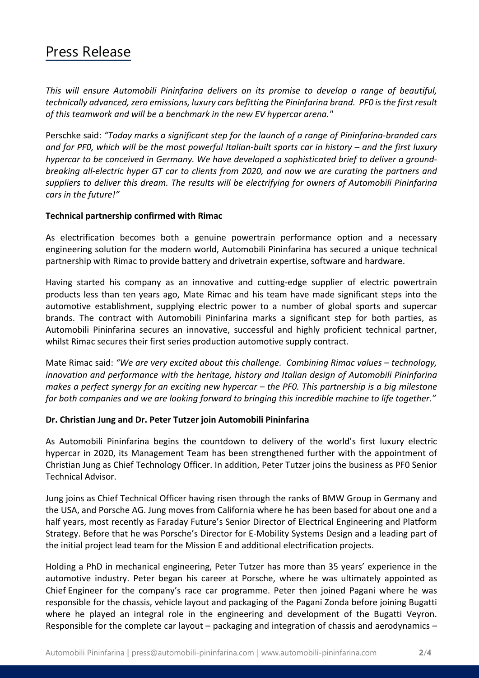# Press Release

*This will ensure Automobili Pininfarina delivers on its promise to develop a range of beautiful, technically advanced, zero emissions, luxury cars befitting the Pininfarina brand. PF0 is the first result of this teamwork and will be a benchmark in the new EV hypercar arena."*

Perschke said: *"Today marks a significant step for the launch of a range of Pininfarina-branded cars and for PF0, which will be the most powerful Italian-built sports car in history – and the first luxury hypercar to be conceived in Germany. We have developed a sophisticated brief to deliver a groundbreaking all-electric hyper GT car to clients from 2020, and now we are curating the partners and suppliers to deliver this dream. The results will be electrifying for owners of Automobili Pininfarina cars in the future!"*

## **Technical partnership confirmed with Rimac**

As electrification becomes both a genuine powertrain performance option and a necessary engineering solution for the modern world, Automobili Pininfarina has secured a unique technical partnership with Rimac to provide battery and drivetrain expertise, software and hardware.

Having started his company as an innovative and cutting-edge supplier of electric powertrain products less than ten years ago, Mate Rimac and his team have made significant steps into the automotive establishment, supplying electric power to a number of global sports and supercar brands. The contract with Automobili Pininfarina marks a significant step for both parties, as Automobili Pininfarina secures an innovative, successful and highly proficient technical partner, whilst Rimac secures their first series production automotive supply contract.

Mate Rimac said: *"We are very excited about this challenge. Combining Rimac values – technology, innovation and performance with the heritage, history and Italian design of Automobili Pininfarina makes a perfect synergy for an exciting new hypercar – the PF0. This partnership is a big milestone for both companies and we are looking forward to bringing this incredible machine to life together."* 

## **Dr. Christian Jung and Dr. Peter Tutzer join Automobili Pininfarina**

As Automobili Pininfarina begins the countdown to delivery of the world's first luxury electric hypercar in 2020, its Management Team has been strengthened further with the appointment of Christian Jung as Chief Technology Officer. In addition, Peter Tutzer joins the business as PF0 Senior Technical Advisor.

Jung joins as Chief Technical Officer having risen through the ranks of BMW Group in Germany and the USA, and Porsche AG. Jung moves from California where he has been based for about one and a half years, most recently as Faraday Future's Senior Director of Electrical Engineering and Platform Strategy. Before that he was Porsche's Director for E-Mobility Systems Design and a leading part of the initial project lead team for the Mission E and additional electrification projects.

Holding a PhD in mechanical engineering, Peter Tutzer has more than 35 years' experience in the automotive industry. Peter began his career at Porsche, where he was ultimately appointed as Chief Engineer for the company's race car programme. Peter then joined Pagani where he was responsible for the chassis, vehicle layout and packaging of the Pagani Zonda before joining Bugatti where he played an integral role in the engineering and development of the Bugatti Veyron. Responsible for the complete car layout – packaging and integration of chassis and aerodynamics –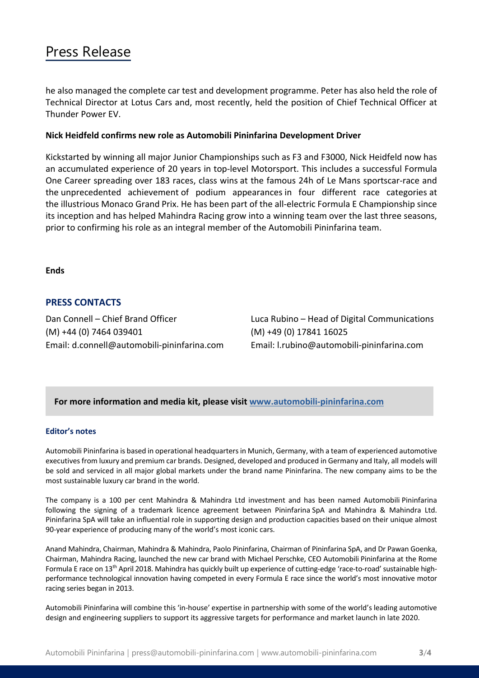# Press Release

he also managed the complete car test and development programme. Peter has also held the role of Technical Director at Lotus Cars and, most recently, held the position of Chief Technical Officer at Thunder Power EV.

### **Nick Heidfeld confirms new role as Automobili Pininfarina Development Driver**

Kickstarted by winning all major Junior Championships such as F3 and F3000, Nick Heidfeld now has an accumulated experience of 20 years in top-level Motorsport. This includes a successful Formula One Career spreading over 183 races, class wins at the famous 24h of Le Mans sportscar-race and the unprecedented achievement of podium appearances in four different race categories at the illustrious Monaco Grand Prix. He has been part of the all-electric Formula E Championship since its inception and has helped Mahindra Racing grow into a winning team over the last three seasons, prior to confirming his role as an integral member of the Automobili Pininfarina team.

#### **Ends**

# **PRESS CONTACTS**

(M) +44 (0) 7464 039401 (M) +49 (0) 17841 16025 Email: d.connell@automobili-pininfarina.com Email: [l.rubino@automobili-pininfarina.com](mailto:l.rubino@automobili-pininfarina.com)

Dan Connell – Chief Brand Officer Luca Rubino – Head of Digital Communications

## **For more information and media kit, please visit [www.automobili-pininfarina.com](http://www.automobili-pininfarina.com/)**

#### **Editor's notes**

Automobili Pininfarina is based in operational headquarters in Munich, Germany, with a team of experienced automotive executives from luxury and premium car brands. Designed, developed and produced in Germany and Italy, all models will be sold and serviced in all major global markets under the brand name Pininfarina. The new company aims to be the most sustainable luxury car brand in the world.

The company is a 100 per cent Mahindra & Mahindra Ltd investment and has been named Automobili Pininfarina following the signing of a trademark licence agreement between Pininfarina SpA and Mahindra & Mahindra Ltd. Pininfarina SpA will take an influential role in supporting design and production capacities based on their unique almost 90-year experience of producing many of the world's most iconic cars.

Anand Mahindra, Chairman, Mahindra & Mahindra, Paolo Pininfarina, Chairman of Pininfarina SpA, and Dr Pawan Goenka, Chairman, Mahindra Racing, launched the new car brand with Michael Perschke, CEO Automobili Pininfarina at the Rome Formula E race on 13th April 2018. Mahindra has quickly built up experience of cutting-edge 'race-to-road' sustainable highperformance technological innovation having competed in every Formula E race since the world's most innovative motor racing series began in 2013.

Automobili Pininfarina will combine this 'in-house' expertise in partnership with some of the world's leading automotive design and engineering suppliers to support its aggressive targets for performance and market launch in late 2020.